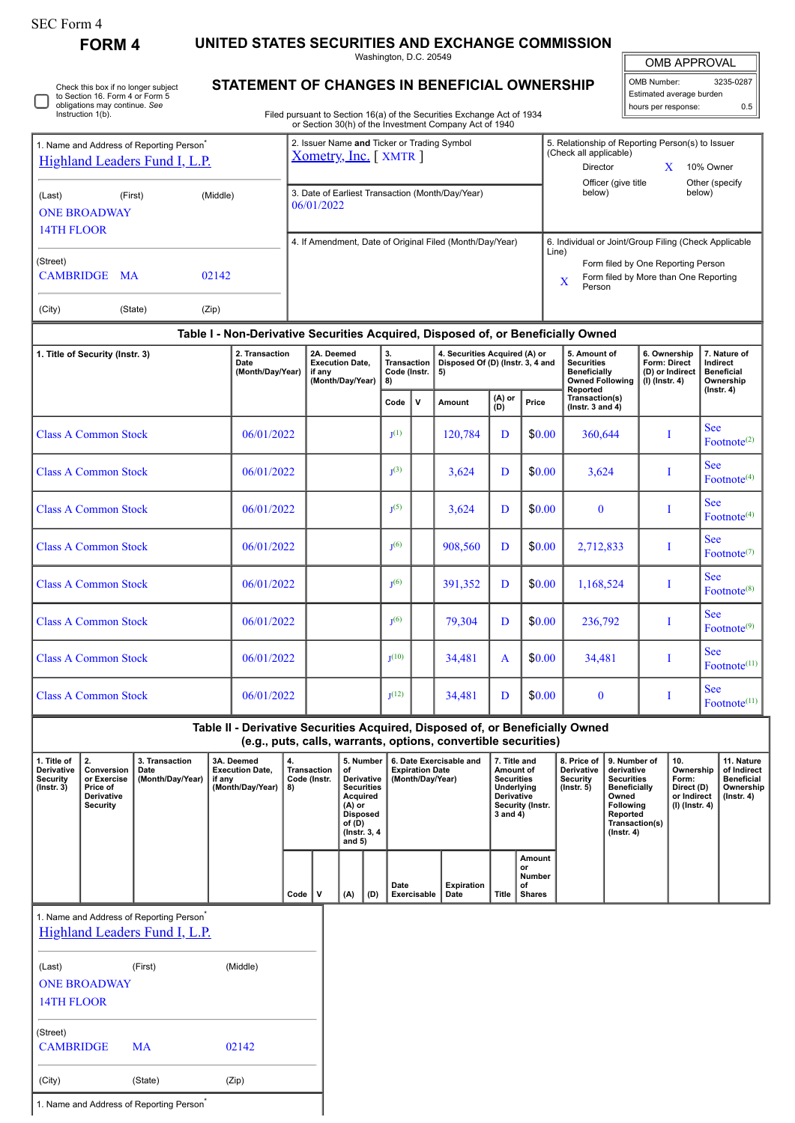## SEC Form 4

**FORM 4 UNITED STATES SECURITIES AND EXCHANGE COMMISSION**

Washington, D.C. 20549

## **STATEMENT OF CHANGES IN BENEFICIAL OWNERSHIP**

Filed pursuant to Section 16(a) of the Securities Exchange Act of 1934 or Section 30(h) of the Investment Company Act of 1940

| <b>OMB APPROVAL</b> |
|---------------------|
|                     |

OMB Number: 3235-0287 Estimated average burden hours per response: 0.5

| 1. Name and Address of Reporting Person <sup>®</sup><br><b>Highland Leaders Fund I, L.P.</b> |           |          | 2. Issuer Name and Ticker or Trading Symbol<br>Xometry, Inc. [XMTR] |            | 5. Relationship of Reporting Person(s) to Issuer<br>(Check all applicable)<br>Director                                                         |  | 10% Owner |  |
|----------------------------------------------------------------------------------------------|-----------|----------|---------------------------------------------------------------------|------------|------------------------------------------------------------------------------------------------------------------------------------------------|--|-----------|--|
| (Last)<br><b>ONE BROADWAY</b><br>14TH FLOOR                                                  | (First)   | (Middle) | 3. Date of Earliest Transaction (Month/Day/Year)<br>06/01/2022      |            | Officer (give title)<br>below)                                                                                                                 |  |           |  |
| (Street)<br><b>CAMBRIDGE</b>                                                                 | <b>MA</b> | 02142    | 4. If Amendment, Date of Original Filed (Month/Day/Year)            | Line)<br>X | 6. Individual or Joint/Group Filing (Check Applicable<br>Form filed by One Reporting Person<br>Form filed by More than One Reporting<br>Person |  |           |  |
| (City)                                                                                       | (State)   | (Zip)    |                                                                     |            |                                                                                                                                                |  |           |  |

## **Table I - Non-Derivative Securities Acquired, Disposed of, or Beneficially Owned**

| 1. Title of Security (Instr. 3) | 2. Transaction<br>Date<br>(Month/Day/Year) | 2A. Deemed<br><b>Execution Date.</b><br>if any<br>(Month/Day/Year) | 3.<br>Transaction<br>Code (Instr.<br>8) |              |         |               | 5)     | 4. Securities Acquired (A) or<br>Disposed Of (D) (Instr. 3, 4 and |  | 5. Amount of<br><b>Securities</b><br><b>Beneficially</b><br><b>Owned Following</b><br>Reported | 6. Ownership<br>Form: Direct<br>(D) or Indirect<br>$(l)$ (lnstr. 4) | 7. Nature of<br>Indirect<br><b>Beneficial</b><br>Ownership<br>$($ Instr. 4 $)$ |
|---------------------------------|--------------------------------------------|--------------------------------------------------------------------|-----------------------------------------|--------------|---------|---------------|--------|-------------------------------------------------------------------|--|------------------------------------------------------------------------------------------------|---------------------------------------------------------------------|--------------------------------------------------------------------------------|
|                                 |                                            |                                                                    | Code                                    | $\mathsf{v}$ | Amount  | (A) or<br>(D) | Price  | Transaction(s)<br>( $lnstr. 3 and 4$ )                            |  |                                                                                                |                                                                     |                                                                                |
| <b>Class A Common Stock</b>     | 06/01/2022                                 |                                                                    | $J^{(1)}$                               |              | 120,784 | D             | \$0.00 | 360,644                                                           |  | <b>See</b><br>Footnote <sup><math>(2)</math></sup>                                             |                                                                     |                                                                                |
| <b>Class A Common Stock</b>     | 06/01/2022                                 |                                                                    | J <sup>(3)</sup>                        |              | 3,624   | D             | \$0.00 | 3,624                                                             |  | <b>See</b><br>Footnote <sup>(4)</sup>                                                          |                                                                     |                                                                                |
| <b>Class A Common Stock</b>     | 06/01/2022                                 |                                                                    | I <sub>1</sub> (5)                      |              | 3,624   | D             | \$0.00 | $\bf{0}$                                                          |  | <b>See</b><br>Footnote $(4)$                                                                   |                                                                     |                                                                                |
| <b>Class A Common Stock</b>     | 06/01/2022                                 |                                                                    | I <sub>1</sub> (6)                      |              | 908,560 | D             | \$0.00 | 2,712,833                                                         |  | <b>See</b><br>Footnote <sup><math>(7)</math></sup>                                             |                                                                     |                                                                                |
| <b>Class A Common Stock</b>     | 06/01/2022                                 |                                                                    | I <sub>1</sub> (6)                      |              | 391,352 | D             | \$0.00 | 1,168,524                                                         |  | <b>See</b><br>Footnote <sup>(8)</sup>                                                          |                                                                     |                                                                                |
| <b>Class A Common Stock</b>     | 06/01/2022                                 |                                                                    | I <sub>1</sub> (6)                      |              | 79,304  | D             | \$0.00 | 236,792                                                           |  | <b>See</b><br>$Fotnote^{(9)}$                                                                  |                                                                     |                                                                                |
| <b>Class A Common Stock</b>     | 06/01/2022                                 |                                                                    | $\mathbf{I}^{(10)}$                     |              | 34,481  | $\mathbf{A}$  | \$0.00 | 34,481                                                            |  | <b>See</b><br>Footnote <sup>(11)</sup>                                                         |                                                                     |                                                                                |
| <b>Class A Common Stock</b>     | 06/01/2022                                 |                                                                    | T(12)                                   |              | 34,481  | D             | \$0.00 | $\bf{0}$                                                          |  | <b>See</b><br>$Fotnote(11)}$                                                                   |                                                                     |                                                                                |

**Table II - Derivative Securities Acquired, Disposed of, or Beneficially Owned (e.g., puts, calls, warrants, options, convertible securities)**

| 1. Title of<br>Derivative<br>Security<br>$($ lnstr. 3 $)$ | Conversion<br>or Exercise<br>Price of<br><b>Derivative</b><br>Security | 3. Transaction<br>Date<br>(Month/Day/Year) | 3A. Deemed<br><b>Execution Date.</b><br>if any<br>(Month/Day/Year) | 4.<br>Transaction<br>Code (Instr.<br>8) | οf  | 7. Title and<br>5. Number<br>8. Price of 19. Number of<br>6. Date Exercisable and<br><b>Expiration Date</b><br><b>Derivative</b><br>Amount of<br>(Month/Day/Year)<br><b>Derivative</b><br><b>Securities</b><br>Security<br><b>Securities</b><br>Underlying<br>$($ lnstr. 5 $)$<br><b>Derivative</b><br>Acquired<br>Security (Instr.<br>(A) or<br>$3$ and $4)$<br><b>Disposed</b><br>of (D)<br>(Instr. 3, 4)<br>and $5)$ |                     |                    |       | derivative<br><b>Securities</b><br><b>Beneficially</b><br>Owned<br><b>Following</b><br>Reported<br>Transaction(s)<br>$($ lnstr. 4 $)$ | 10.<br>Ownership<br>Form:<br>Direct (D)<br>or Indirect<br>(I) (Instr. 4) | 11. Nature<br>of Indirect<br><b>Beneficial</b><br>Ownership<br>$($ lnstr. 4 $)$ |  |  |
|-----------------------------------------------------------|------------------------------------------------------------------------|--------------------------------------------|--------------------------------------------------------------------|-----------------------------------------|-----|-------------------------------------------------------------------------------------------------------------------------------------------------------------------------------------------------------------------------------------------------------------------------------------------------------------------------------------------------------------------------------------------------------------------------|---------------------|--------------------|-------|---------------------------------------------------------------------------------------------------------------------------------------|--------------------------------------------------------------------------|---------------------------------------------------------------------------------|--|--|
|                                                           |                                                                        |                                            |                                                                    | Code                                    | (A) | (D)                                                                                                                                                                                                                                                                                                                                                                                                                     | Date<br>Exercisable | Expiration<br>Date | Title | Amount<br>or<br>Number<br>of<br><b>Shares</b>                                                                                         |                                                                          |                                                                                 |  |  |

1. Name and Address of Reporting Person<sup>\*</sup>

# [Highland Leaders Fund I, L.P.](http://www.sec.gov/cgi-bin/browse-edgar?action=getcompany&CIK=0001794347)

| (Last)                       | (First) | (Middle) |
|------------------------------|---------|----------|
| <b>ONE BROADWAY</b>          |         |          |
| 14TH FLOOR                   |         |          |
|                              |         |          |
| (Street)<br><b>CAMBRIDGE</b> | MA      | 02142    |
|                              |         |          |
| (City)                       | (State) | (Zip)    |

1. Name and Address of Reporting Person<sup>\*</sup>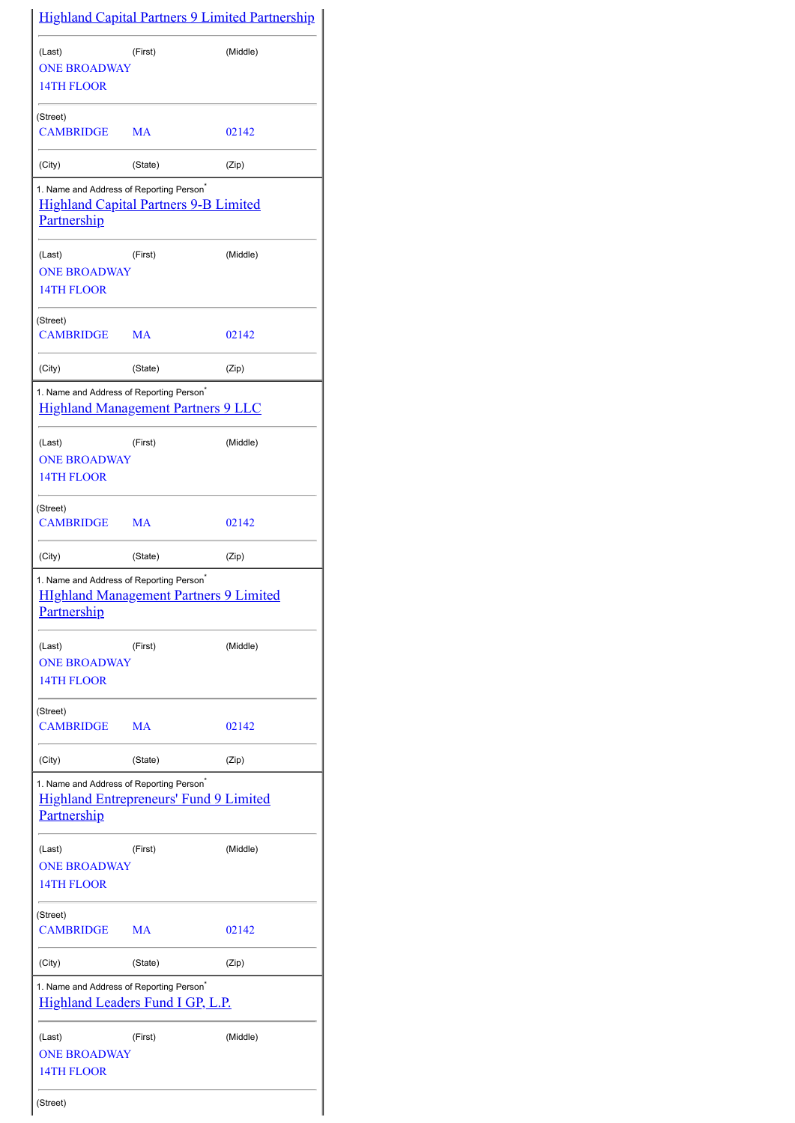|                                                                            |                                               | <b>Highland Capital Partners 9 Limited Partnership</b> |
|----------------------------------------------------------------------------|-----------------------------------------------|--------------------------------------------------------|
| (Last)<br><b>ONE BROADWAY</b><br>14TH FLOOR                                | (First)                                       | (Middle)                                               |
| (Street)<br><b>CAMBRIDGE</b>                                               | MA                                            | 02142                                                  |
| (City)                                                                     | (State)                                       | (Zip)                                                  |
| 1. Name and Address of Reporting Person <sup>*</sup><br><b>Partnership</b> | <b>Highland Capital Partners 9-B Limited</b>  |                                                        |
| (Last)<br><b>ONE BROADWAY</b><br>14TH FLOOR                                | (First)                                       | (Middle)                                               |
| (Street)<br><b>CAMBRIDGE</b>                                               | MA                                            | 02142                                                  |
| (City)                                                                     | (State)                                       | (Zip)                                                  |
| 1. Name and Address of Reporting Person <sup>*</sup>                       | <b>Highland Management Partners 9 LLC</b>     |                                                        |
| (Last)<br><b>ONE BROADWAY</b><br>14TH FLOOR                                | (First)                                       | (Middle)                                               |
| (Street)<br><b>CAMBRIDGE</b>                                               | MA                                            | 02142                                                  |
| (City)                                                                     | (State)                                       | (Zip)                                                  |
| 1. Name and Address of Reporting Person <sup>*</sup><br>Partnership        | <b>HIghland Management Partners 9 Limited</b> |                                                        |
| (Last)<br><b>ONE BROADWAY</b><br>14TH FLOOR                                | (First)                                       | (Middle)                                               |
| (Street)<br><b>CAMBRIDGE</b>                                               | МA                                            | 02142                                                  |
| (City)                                                                     | (State)                                       | (Zip)                                                  |
| 1. Name and Address of Reporting Person <sup>®</sup><br><b>Partnership</b> | <b>Highland Entrepreneurs' Fund 9 Limited</b> |                                                        |
| (Last)<br><b>ONE BROADWAY</b><br>14TH FLOOR                                | (First)                                       | (Middle)                                               |
| (Street)<br><b>CAMBRIDGE</b>                                               | MA                                            | 02142                                                  |
| (City)                                                                     | (State)                                       | (Zip)                                                  |
| 1. Name and Address of Reporting Person <sup>®</sup>                       | <b>Highland Leaders Fund I GP, L.P.</b>       |                                                        |
| (Last)<br><b>ONE BROADWAY</b><br>14TH FLOOR                                | (First)                                       | (Middle)                                               |
| (Street)                                                                   |                                               |                                                        |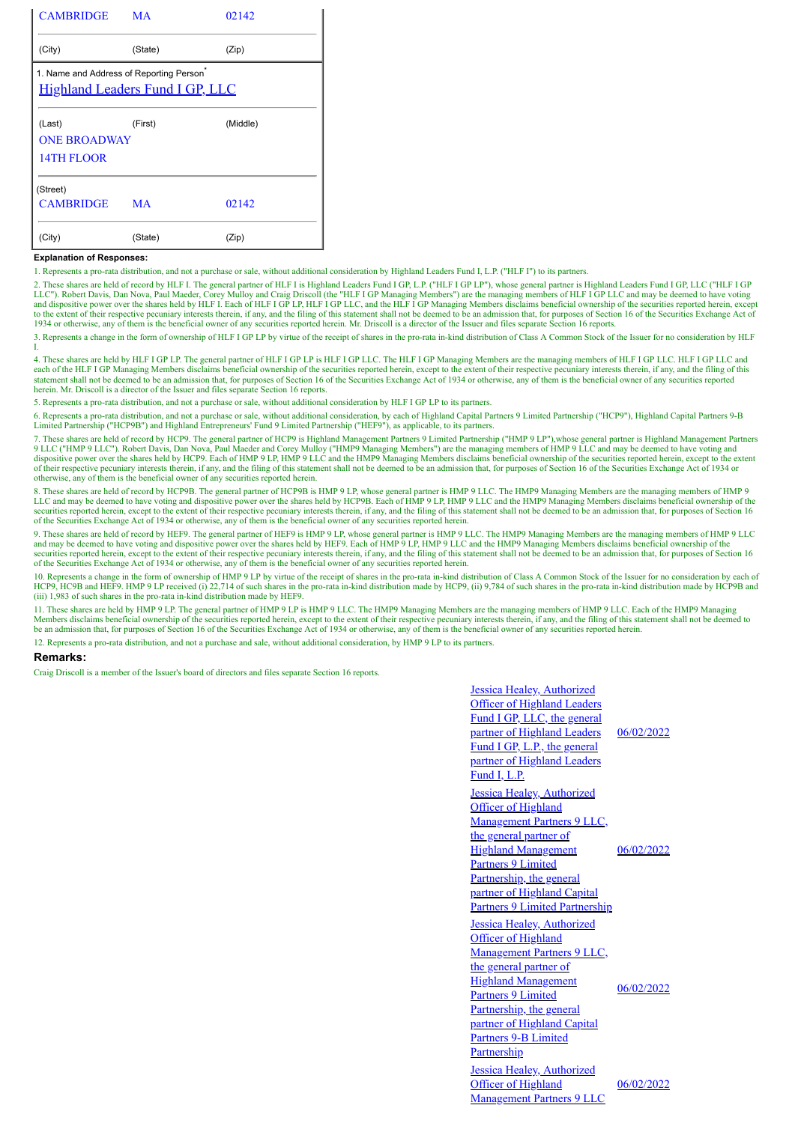| <b>CAMBRIDGE</b>                            | <b>MA</b>                              | 02142    |
|---------------------------------------------|----------------------------------------|----------|
| (City)                                      | (State)                                | (Zip)    |
| 1. Name and Address of Reporting Person     | <b>Highland Leaders Fund I GP, LLC</b> |          |
| (Last)<br><b>ONE BROADWAY</b><br>14TH FLOOR | (First)                                | (Middle) |
| (Street)<br><b>CAMBRIDGE</b>                | MA                                     | 02142    |
| (City)                                      | (State)                                | (Zip)    |

### **Explanation of Responses:**

1. Represents a pro-rata distribution, and not a purchase or sale, without additional consideration by Highland Leaders Fund I, L.P. ("HLF I") to its partners.

2. These shares are held of record by HLF I. The general partner of HLF I is Highland Leaders Fund I GP, L.P. ("HLF I GP LP"), whose general partner is Highland Leaders Fund I GP, LLC ("HLF I GP LLC"). Robert Davis, Dan Nova, Paul Maeder, Corey Mulloy and Craig Driscoll (the "HLF I GP Managing Members") are the managing members of HLF I GP LLC and may be deemed to have voting<br>and dispositive power over the shares to the extent of their respective pecuniary interests therein, if any, and the filing of this statement shall not be deemed to be an admission that, for purposes of Section 16 of the Securities Exchange Act of 1934 or otherwise, any of them is the beneficial owner of any securities reported herein. Mr. Driscoll is a director of the Issuer and files separate Section 16 reports.

3. Represents a change in the form of ownership of HLF I GP LP by virtue of the receipt of shares in the pro-rata in-kind distribution of Class A Common Stock of the Issuer for no consideration by HLF I.

4. These shares are held by HLF I GP LP. The general partner of HLF I GP LP is HLF I GP LLC. The HLF I GP Managing Members are the managing members of HLF I GP LLC. HLF I GP LLC and each of the HLF I GP Managing Members disclaims beneficial ownership of the securities reported herein, except to the extent of their respective pecuniary interests therein, if any, and the filing of this statement shall n

5. Represents a pro-rata distribution, and not a purchase or sale, without additional consideration by HLF I GP LP to its partners.

6. Represents a pro-rata distribution, and not a purchase or sale, without additional consideration, by each of Highland Capital Partners 9 Limited Partnership ("HCP9"), Highland Capital Partners 9-B Limited Partnership ("HCP9B") and Highland Entrepreneurs' Fund 9 Limited Partnership ("HEF9"), as applicable, to its partners.

7. These shares are held of record by HCP9. The general partner of HCP9 is Highland Management Partners 9 Limited Partnership ("HMP 9 LP"),whose general partner is Highland Management Partners 9 LLC ("HMP 9 LLC"). Robert Davis, Dan Nova, Paul Maeder and Corey Mulloy ("HMP9 Managing Members") are the managing members of HMP 9 LLC and may be deemed to have voting and dispositive power over the shares held by HCP9. Each of HMP 9 LP, HMP 9 LLC and the HMP9 Managing Members disclaims beneficial ownership of the securities reported herein, except to the extent<br>of their respective pecuniary otherwise, any of them is the beneficial owner of any securities reported herein.

8. These shares are held of record by HCP9B. The general partner of HCP9B is HMP 9 LP, whose general partner is HMP 9 LLC. The HMP9 Managing Members are the managing members of HMP 9<br>LLC and may be deemed to have voting an securities reported herein, except to the extent of their respective pecuniary interests therein, if any, and the filing of this statement shall not be deemed to be an admission that, for purposes of Section 16 of the Secu

9. These shares are held of record by HEF9. The general partner of HEF9 is HMP 9 LP, whose general partner is HMP 9 LLC. The HMP9 Managing Members are the managing members of HMP 9 LLC<br>and may be deemed to have voting and securities reported herein, except to the extent of their respective pecuniary interests therein, if any, and the filing of this statement shall not be deemed to be an admission that, for purposes of Section 16 of the Securities Exchange Act of 1934 or otherwise, any of them is the beneficial owner of any securities reported herein.

10. Represents a change in the form of ownership of HMP 9 LP by virtue of the receipt of shares in the pro-rata in-kind distribution of Class A Common Stock of the Issuer for no consideration by each of HCP9, HC9B and HEF9. HMP 9 LP received (i) 22,714 of such shares in the pro-rata in-kind distribution made by HCP9, (ii) 9,784 of such shares in the pro-rata in-kind distribution made by HCP9B and<br>(iii) 1,983 of such share

11. These shares are held by HMP 9 LP. The general partner of HMP 9 LP is HMP 9 LLC. The HMP9 Managing Members are the managing members of HMP 9 LLC. Each of the HMP9 Managing Members disclaims beneficial ownership of the securities reported herein, except to the extent of their respective pecuniary interests therein, if any, and the filing of this statement shall not be deemed to be an admissio

12. Represents a pro-rata distribution, and not a purchase and sale, without additional consideration, by HMP 9 LP to its partners.

#### **Remarks:**

Craig Driscoll is a member of the Issuer's board of directors and files separate Section 16 reports.

| <b>Jessica Healey, Authorized</b><br><b>Officer of Highland Leaders</b><br>Fund I GP, LLC, the general<br>partner of Highland Leaders<br>Fund I GP, L.P., the general<br>partner of Highland Leaders<br>Fund I, L.P.                                                                               | 06/02/2022 |
|----------------------------------------------------------------------------------------------------------------------------------------------------------------------------------------------------------------------------------------------------------------------------------------------------|------------|
| <b>Jessica Healey, Authorized</b><br><b>Officer of Highland</b><br>Management Partners 9 LLC,<br>the general partner of<br><b>Highland Management</b><br><b>Partners 9 Limited</b><br>Partnership, the general<br>partner of Highland Capital<br><b>Partners 9 Limited Partnership</b>             | 06/02/2022 |
| <b>Jessica Healey, Authorized</b><br><b>Officer of Highland</b><br><b>Management Partners 9 LLC,</b><br>the general partner of<br><b>Highland Management</b><br><b>Partners 9 Limited</b><br>Partnership, the general<br>partner of Highland Capital<br><b>Partners 9-B Limited</b><br>Partnership | 06/02/2022 |
| Jessica Healey, Authorized<br><b>Officer of Highland</b><br><b>Management Partners 9 LLC</b>                                                                                                                                                                                                       | 06/02/2022 |